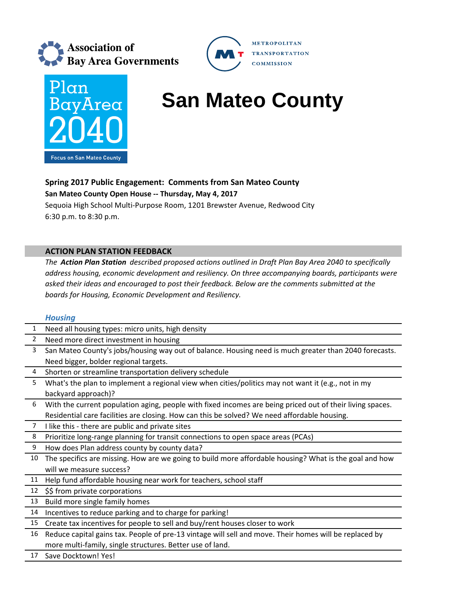



# **BayArea** San Mateo County

METROPOLITAN **TRANSPORTATION COMMISSION** 

## **Spring 2017 Public Engagement: Comments from San Mateo County**

**San Mateo County Open House ‐‐ Thursday, May 4, 2017**

Sequoia High School Multi‐Purpose Room, 1201 Brewster Avenue, Redwood City 6:30 p.m. to 8:30 p.m.

### **ACTION PLAN STATION FEEDBACK**

*The Action Plan Station described proposed actions outlined in Draft Plan Bay Area 2040 to specifically address housing, economic development and resiliency. On three accompanying boards, participants were asked their ideas and encouraged to post their feedback. Below are the comments submitted at the boards for Housing, Economic Development and Resiliency.*

#### *Housing*

| $\overline{2}$<br>Need more direct investment in housing<br>3<br>San Mateo County's jobs/housing way out of balance. Housing need is much greater than 2040 forecasts.<br>Need bigger, bolder regional targets.<br>4<br>Shorten or streamline transportation delivery schedule<br>5<br>What's the plan to implement a regional view when cities/politics may not want it (e.g., not in my<br>backyard approach)?<br>6<br>With the current population aging, people with fixed incomes are being priced out of their living spaces.<br>Residential care facilities are closing. How can this be solved? We need affordable housing.<br>$\overline{7}$<br>I like this - there are public and private sites<br>8<br>Prioritize long-range planning for transit connections to open space areas (PCAs)<br>9<br>How does Plan address county by county data?<br>The specifics are missing. How are we going to build more affordable housing? What is the goal and how<br>10<br>will we measure success?<br>Help fund affordable housing near work for teachers, school staff<br>11<br>\$\$ from private corporations<br>12<br>Build more single family homes<br>13<br>14<br>Incentives to reduce parking and to charge for parking!<br>Create tax incentives for people to sell and buy/rent houses closer to work<br>15<br>Reduce capital gains tax. People of pre-13 vintage will sell and move. Their homes will be replaced by<br>16<br>more multi-family, single structures. Better use of land. | 1 | Need all housing types: micro units, high density |
|---------------------------------------------------------------------------------------------------------------------------------------------------------------------------------------------------------------------------------------------------------------------------------------------------------------------------------------------------------------------------------------------------------------------------------------------------------------------------------------------------------------------------------------------------------------------------------------------------------------------------------------------------------------------------------------------------------------------------------------------------------------------------------------------------------------------------------------------------------------------------------------------------------------------------------------------------------------------------------------------------------------------------------------------------------------------------------------------------------------------------------------------------------------------------------------------------------------------------------------------------------------------------------------------------------------------------------------------------------------------------------------------------------------------------------------------------------------------------------------------------|---|---------------------------------------------------|
|                                                                                                                                                                                                                                                                                                                                                                                                                                                                                                                                                                                                                                                                                                                                                                                                                                                                                                                                                                                                                                                                                                                                                                                                                                                                                                                                                                                                                                                                                                   |   |                                                   |
|                                                                                                                                                                                                                                                                                                                                                                                                                                                                                                                                                                                                                                                                                                                                                                                                                                                                                                                                                                                                                                                                                                                                                                                                                                                                                                                                                                                                                                                                                                   |   |                                                   |
|                                                                                                                                                                                                                                                                                                                                                                                                                                                                                                                                                                                                                                                                                                                                                                                                                                                                                                                                                                                                                                                                                                                                                                                                                                                                                                                                                                                                                                                                                                   |   |                                                   |
|                                                                                                                                                                                                                                                                                                                                                                                                                                                                                                                                                                                                                                                                                                                                                                                                                                                                                                                                                                                                                                                                                                                                                                                                                                                                                                                                                                                                                                                                                                   |   |                                                   |
|                                                                                                                                                                                                                                                                                                                                                                                                                                                                                                                                                                                                                                                                                                                                                                                                                                                                                                                                                                                                                                                                                                                                                                                                                                                                                                                                                                                                                                                                                                   |   |                                                   |
|                                                                                                                                                                                                                                                                                                                                                                                                                                                                                                                                                                                                                                                                                                                                                                                                                                                                                                                                                                                                                                                                                                                                                                                                                                                                                                                                                                                                                                                                                                   |   |                                                   |
|                                                                                                                                                                                                                                                                                                                                                                                                                                                                                                                                                                                                                                                                                                                                                                                                                                                                                                                                                                                                                                                                                                                                                                                                                                                                                                                                                                                                                                                                                                   |   |                                                   |
|                                                                                                                                                                                                                                                                                                                                                                                                                                                                                                                                                                                                                                                                                                                                                                                                                                                                                                                                                                                                                                                                                                                                                                                                                                                                                                                                                                                                                                                                                                   |   |                                                   |
|                                                                                                                                                                                                                                                                                                                                                                                                                                                                                                                                                                                                                                                                                                                                                                                                                                                                                                                                                                                                                                                                                                                                                                                                                                                                                                                                                                                                                                                                                                   |   |                                                   |
|                                                                                                                                                                                                                                                                                                                                                                                                                                                                                                                                                                                                                                                                                                                                                                                                                                                                                                                                                                                                                                                                                                                                                                                                                                                                                                                                                                                                                                                                                                   |   |                                                   |
|                                                                                                                                                                                                                                                                                                                                                                                                                                                                                                                                                                                                                                                                                                                                                                                                                                                                                                                                                                                                                                                                                                                                                                                                                                                                                                                                                                                                                                                                                                   |   |                                                   |
|                                                                                                                                                                                                                                                                                                                                                                                                                                                                                                                                                                                                                                                                                                                                                                                                                                                                                                                                                                                                                                                                                                                                                                                                                                                                                                                                                                                                                                                                                                   |   |                                                   |
|                                                                                                                                                                                                                                                                                                                                                                                                                                                                                                                                                                                                                                                                                                                                                                                                                                                                                                                                                                                                                                                                                                                                                                                                                                                                                                                                                                                                                                                                                                   |   |                                                   |
|                                                                                                                                                                                                                                                                                                                                                                                                                                                                                                                                                                                                                                                                                                                                                                                                                                                                                                                                                                                                                                                                                                                                                                                                                                                                                                                                                                                                                                                                                                   |   |                                                   |
|                                                                                                                                                                                                                                                                                                                                                                                                                                                                                                                                                                                                                                                                                                                                                                                                                                                                                                                                                                                                                                                                                                                                                                                                                                                                                                                                                                                                                                                                                                   |   |                                                   |
|                                                                                                                                                                                                                                                                                                                                                                                                                                                                                                                                                                                                                                                                                                                                                                                                                                                                                                                                                                                                                                                                                                                                                                                                                                                                                                                                                                                                                                                                                                   |   |                                                   |
|                                                                                                                                                                                                                                                                                                                                                                                                                                                                                                                                                                                                                                                                                                                                                                                                                                                                                                                                                                                                                                                                                                                                                                                                                                                                                                                                                                                                                                                                                                   |   |                                                   |
|                                                                                                                                                                                                                                                                                                                                                                                                                                                                                                                                                                                                                                                                                                                                                                                                                                                                                                                                                                                                                                                                                                                                                                                                                                                                                                                                                                                                                                                                                                   |   |                                                   |
|                                                                                                                                                                                                                                                                                                                                                                                                                                                                                                                                                                                                                                                                                                                                                                                                                                                                                                                                                                                                                                                                                                                                                                                                                                                                                                                                                                                                                                                                                                   |   |                                                   |
|                                                                                                                                                                                                                                                                                                                                                                                                                                                                                                                                                                                                                                                                                                                                                                                                                                                                                                                                                                                                                                                                                                                                                                                                                                                                                                                                                                                                                                                                                                   |   |                                                   |
| Save Docktown! Yes!<br>17                                                                                                                                                                                                                                                                                                                                                                                                                                                                                                                                                                                                                                                                                                                                                                                                                                                                                                                                                                                                                                                                                                                                                                                                                                                                                                                                                                                                                                                                         |   |                                                   |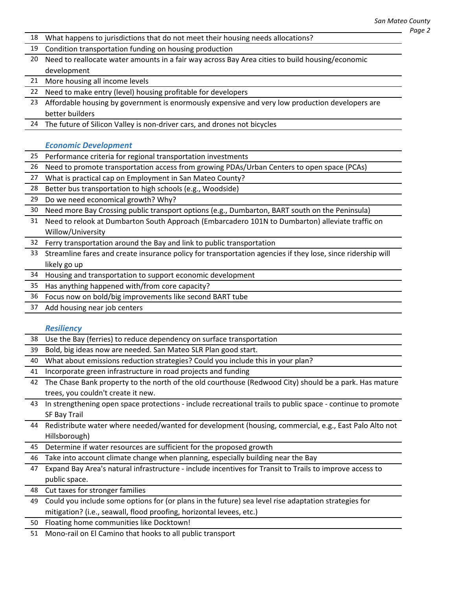|                 | San Mai                                                                                                     |
|-----------------|-------------------------------------------------------------------------------------------------------------|
| 18              | What happens to jurisdictions that do not meet their housing needs allocations?                             |
| 19              | Condition transportation funding on housing production                                                      |
| 20              | Need to reallocate water amounts in a fair way across Bay Area cities to build housing/economic             |
|                 | development                                                                                                 |
| 21              | More housing all income levels                                                                              |
| 22              | Need to make entry (level) housing profitable for developers                                                |
| 23              | Affordable housing by government is enormously expensive and very low production developers are             |
|                 | better builders                                                                                             |
|                 | 24 The future of Silicon Valley is non-driver cars, and drones not bicycles                                 |
|                 |                                                                                                             |
|                 | <b>Economic Development</b>                                                                                 |
| 25 <sub>1</sub> | Performance criteria for regional transportation investments                                                |
| 26              | Need to promote transportation access from growing PDAs/Urban Centers to open space (PCAs)                  |
| 27              | What is practical cap on Employment in San Mateo County?                                                    |
| 28              | Better bus transportation to high schools (e.g., Woodside)                                                  |
| 29              | Do we need economical growth? Why?                                                                          |
| 30              | Need more Bay Crossing public transport options (e.g., Dumbarton, BART south on the Peninsula)              |
| 31              | Need to relook at Dumbarton South Approach (Embarcadero 101N to Dumbarton) alleviate traffic on             |
|                 | Willow/University                                                                                           |
|                 | 32 Ferry transportation around the Bay and link to public transportation                                    |
| 33              | Streamline fares and create insurance policy for transportation agencies if they lose, since ridership will |
|                 | likely go up                                                                                                |
| 34              | Housing and transportation to support economic development                                                  |
| 35              | Has anything happened with/from core capacity?                                                              |
| 36              | Focus now on bold/big improvements like second BART tube                                                    |
| 37              | Add housing near job centers                                                                                |
|                 |                                                                                                             |
|                 | <b>Resiliency</b>                                                                                           |
|                 | 38 Use the Bay (ferries) to reduce dependency on surface transportation                                     |
| 39              | Bold, big ideas now are needed. San Mateo SLR Plan good start.                                              |
|                 | 40 What about emissions reduction strategies? Could you include this in your plan?                          |
|                 | 41 Incorporate green infrastructure in road projects and funding                                            |
| 42              | The Chase Bank property to the north of the old courthouse (Redwood City) should be a park. Has mature      |
|                 | trees, you couldn't create it new.                                                                          |
| 43              | In strengthening open space protections - include recreational trails to public space - continue to promote |
|                 | <b>SF Bay Trail</b>                                                                                         |
| 44              | Redistribute water where needed/wanted for development (housing, commercial, e.g., East Palo Alto not       |
|                 | Hillsborough)                                                                                               |
|                 | 45 Determine if water resources are sufficient for the proposed growth                                      |
|                 | 46 Take into account climate change when planning, especially building near the Bay                         |
| 47              | Expand Bay Area's natural infrastructure - include incentives for Transit to Trails to improve access to    |
|                 | public space.                                                                                               |
|                 | 48 Cut taxes for stronger families                                                                          |
| 49              | Could you include some options for (or plans in the future) sea level rise adaptation strategies for        |
|                 | mitigation? (i.e., seawall, flood proofing, horizontal levees, etc.)                                        |
|                 | 50 Floating home communities like Docktown!                                                                 |
| 51              | Mono-rail on El Camino that hooks to all public transport                                                   |
|                 |                                                                                                             |
|                 |                                                                                                             |
|                 |                                                                                                             |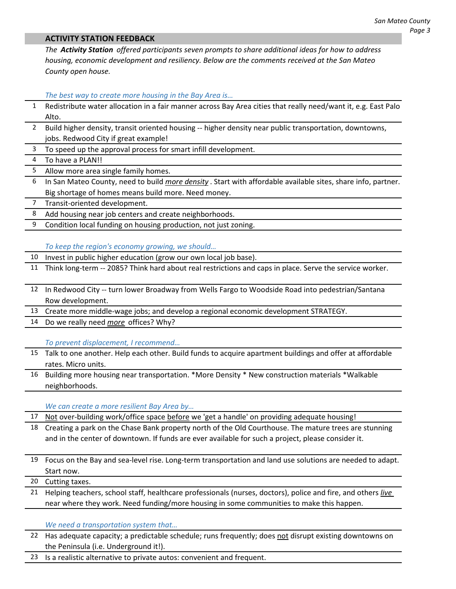#### **ACTIVITY STATION FEEDBACK**

*The Activity Station offered participants seven prompts to share additional ideas for how to address housing, economic development and resiliency. Below are the comments received at the San Mateo County open house.*

*The best way to create more housing in the Bay Area is…*

- 1 Redistribute water allocation in a fair manner across Bay Area cities that really need/want it, e.g. East Palo Alto.
- 2 Build higher density, transit oriented housing -- higher density near public transportation, downtowns, jobs. Redwood City if great example!
- To speed up the approval process for smart infill development.

4 To have a PLAN!!

- 5 Allow more area single family homes.
- 6 In San Mateo County, need to build *more density* . Start with affordable available sites, share info, partner. Big shortage of homes means build more. Need money.
- 7 Transit‐oriented development.

8 Add housing near job centers and create neighborhoods.

9 Condition local funding on housing production, not just zoning.

*To keep the region's economy growing, we should…*

- 10 Invest in public higher education (grow our own local job base).
- 11 Think long-term -- 2085? Think hard about real restrictions and caps in place. Serve the service worker.
- 12 In Redwood City -- turn lower Broadway from Wells Fargo to Woodside Road into pedestrian/Santana Row development.
- 13 Create more middle‐wage jobs; and develop a regional economic development STRATEGY.
- 14 Do we really need *more* offices? Why?

*To prevent displacement, I recommend…*

- 15 Talk to one another. Help each other. Build funds to acquire apartment buildings and offer at affordable rates. Micro units.
- 16 Building more housing near transportation. \*More Density \* New construction materials \*Walkable neighborhoods.

*We can create a more resilient Bay Area by…*

17 Not over-building work/office space before we 'get a handle' on providing adequate housing!

- 18 Creating a park on the Chase Bank property north of the Old Courthouse. The mature trees are stunning and in the center of downtown. If funds are ever available for such a project, please consider it.
- 19 Focus on the Bay and sea‐level rise. Long‐term transportation and land use solutions are needed to adapt. Start now.

20 Cutting taxes.

21 Helping teachers, school staff, healthcare professionals (nurses, doctors), police and fire, and others *live* near where they work. Need funding/more housing in some communities to make this happen.

*We need a transportation system that…*

- 22 Has adequate capacity; a predictable schedule; runs frequently; does not disrupt existing downtowns on the Peninsula (i.e. Underground it!).
- 23 Is a realistic alternative to private autos: convenient and frequent.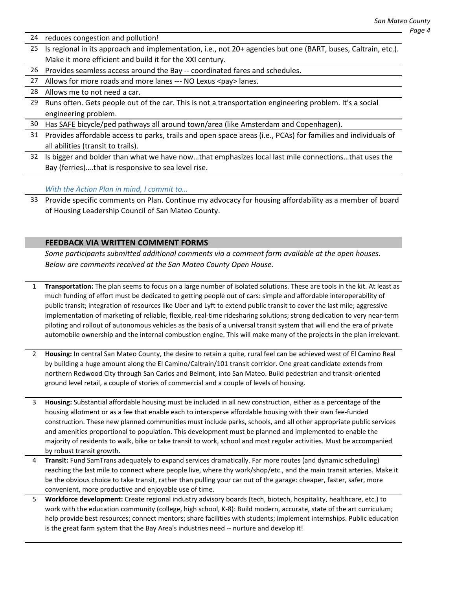- 24 reduces congestion and pollution!
- 25 Is regional in its approach and implementation, i.e., not 20+ agencies but one (BART, buses, Caltrain, etc.). Make it more efficient and build it for the XXI century.
- 26 Provides seamless access around the Bay -- coordinated fares and schedules.
- 27 Allows for more roads and more lanes --- NO Lexus <pay> lanes.

#### 28 Allows me to not need a car.

- 29 Runs often. Gets people out of the car. This is not a transportation engineering problem. It's a social engineering problem.
- 30 Has SAFE bicycle/ped pathways all around town/area (like Amsterdam and Copenhagen).
- 31 Provides affordable access to parks, trails and open space areas (i.e., PCAs) for families and individuals of all abilities (transit to trails).
- 32 Is bigger and bolder than what we have now…that emphasizes local last mile connections…that uses the Bay (ferries)….that is responsive to sea level rise.

#### *With the Action Plan in mind, I commit to…*

33 Provide specific comments on Plan. Continue my advocacy for housing affordability as a member of board of Housing Leadership Council of San Mateo County.

#### **FEEDBACK VIA WRITTEN COMMENT FORMS**

*Some participants submitted additional comments via a comment form available at the open houses. Below are comments received at the San Mateo County Open House.* 

- 1 **Transportation:** The plan seems to focus on a large number of isolated solutions. These are tools in the kit. At least as much funding of effort must be dedicated to getting people out of cars: simple and affordable interoperability of public transit; integration of resources like Uber and Lyft to extend public transit to cover the last mile; aggressive implementation of marketing of reliable, flexible, real-time ridesharing solutions; strong dedication to very near-term piloting and rollout of autonomous vehicles as the basis of a universal transit system that will end the era of private automobile ownership and the internal combustion engine. This will make many of the projects in the plan irrelevant.
- 2 **Housing:** In central San Mateo County, the desire to retain a quite, rural feel can be achieved west of El Camino Real by building a huge amount along the El Camino/Caltrain/101 transit corridor. One great candidate extends from northern Redwood City through San Carlos and Belmont, into San Mateo. Build pedestrian and transit‐oriented ground level retail, a couple of stories of commercial and a couple of levels of housing.
- 3 **Housing:** Substantial affordable housing must be included in all new construction, either as a percentage of the housing allotment or as a fee that enable each to intersperse affordable housing with their own fee‐funded construction. These new planned communities must include parks, schools, and all other appropriate public services and amenities proportional to population. This development must be planned and implemented to enable the majority of residents to walk, bike or take transit to work, school and most regular activities. Must be accompanied by robust transit growth.
- 4 **Transit:** Fund SamTrans adequately to expand services dramatically. Far more routes (and dynamic scheduling) reaching the last mile to connect where people live, where thy work/shop/etc., and the main transit arteries. Make it be the obvious choice to take transit, rather than pulling your car out of the garage: cheaper, faster, safer, more convenient, more productive and enjoyable use of time.
- 5 **Workforce development:** Create regional industry advisory boards (tech, biotech, hospitality, healthcare, etc.) to work with the education community (college, high school, K-8): Build modern, accurate, state of the art curriculum; help provide best resources; connect mentors; share facilities with students; implement internships. Public education is the great farm system that the Bay Area's industries need -- nurture and develop it!